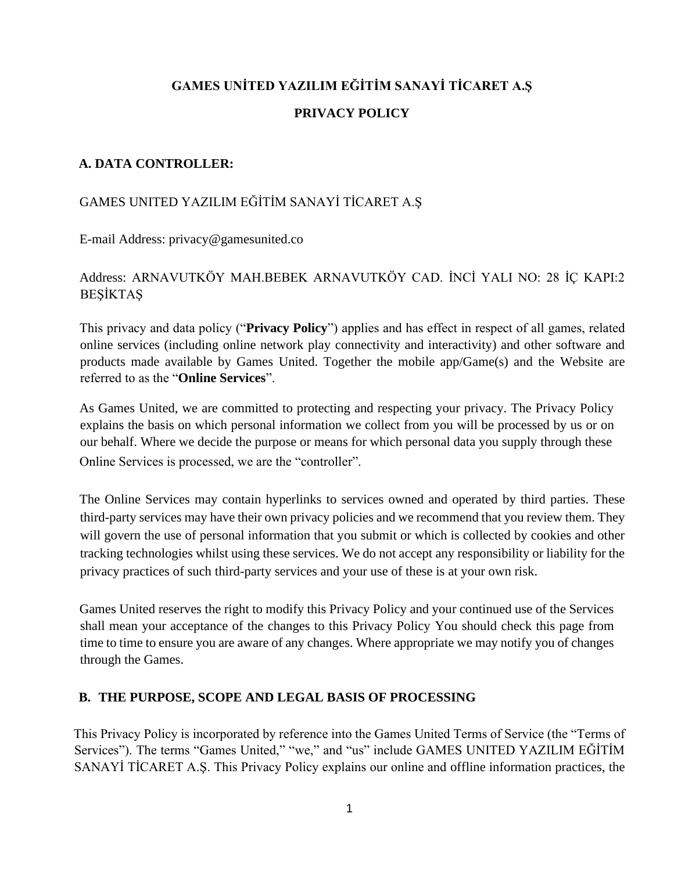# **GAMES UNİTED YAZILIM EĞİTİM SANAYİ TİCARET A.Ş PRIVACY POLICY**

#### **A. DATA CONTROLLER:**

#### GAMES UNITED YAZILIM EĞİTİM SANAYİ TİCARET A.Ş

E-mail Address: privacy@gamesunited.co

## Address: ARNAVUTKÖY MAH.BEBEK ARNAVUTKÖY CAD. İNCİ YALI NO: 28 İÇ KAPI:2 BEŞİKTAŞ

This privacy and data policy ("**Privacy Policy**") applies and has effect in respect of all games, related online services (including online network play connectivity and interactivity) and other software and products made available by Games United. Together the mobile app/Game(s) and the Website are referred to as the "**Online Services**".

As Games United, we are committed to protecting and respecting your privacy. The Privacy Policy explains the basis on which personal information we collect from you will be processed by us or on our behalf. Where we decide the purpose or means for which personal data you supply through these Online Services is processed, we are the "controller".

The Online Services may contain hyperlinks to services owned and operated by third parties. These third-party services may have their own privacy policies and we recommend that you review them. They will govern the use of personal information that you submit or which is collected by cookies and other tracking technologies whilst using these services. We do not accept any responsibility or liability for the privacy practices of such third-party services and your use of these is at your own risk.

Games United reserves the right to modify this Privacy Policy and your continued use of the Services shall mean your acceptance of the changes to this Privacy Policy You should check this page from time to time to ensure you are aware of any changes. Where appropriate we may notify you of changes through the Games.

#### **B. THE PURPOSE, SCOPE AND LEGAL BASIS OF PROCESSING**

This Privacy Policy is incorporated by reference into the Games United Terms of Service (the "Terms of Services"). The terms "Games United," "we," and "us" include GAMES UNITED YAZILIM EĞİTİM SANAYİ TİCARET A.Ş. This Privacy Policy explains our online and offline information practices, the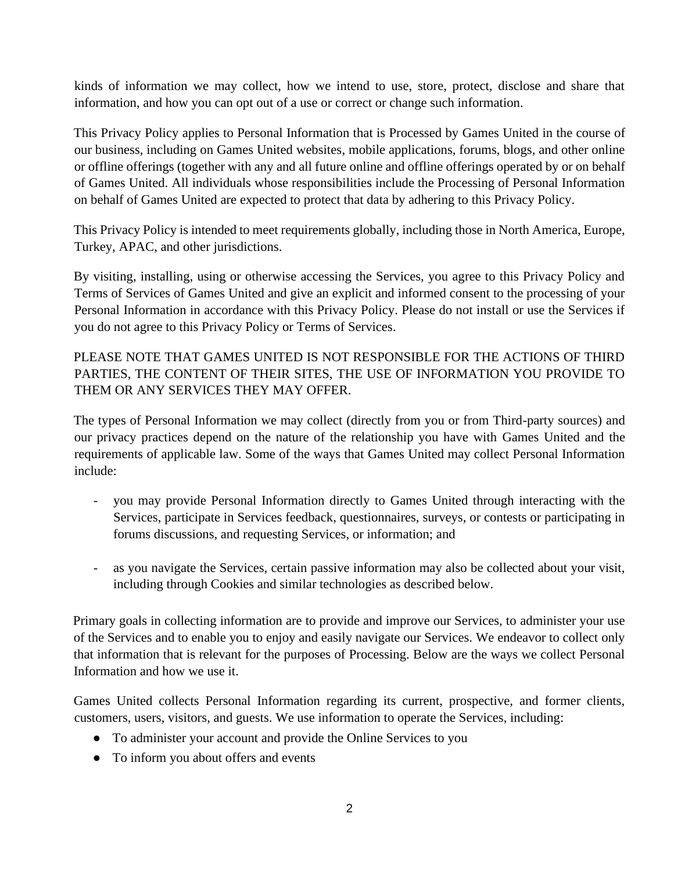kinds of information we may collect, how we intend to use, store, protect, disclose and share that information, and how you can opt out of a use or correct or change such information.

This Privacy Policy applies to Personal Information that is Processed by Games United in the course of our business, including on Games United websites, mobile applications, forums, blogs, and other online or offline offerings (together with any and all future online and offline offerings operated by or on behalf of Games United. All individuals whose responsibilities include the Processing of Personal Information on behalf of Games United are expected to protect that data by adhering to this Privacy Policy.

This Privacy Policy is intended to meet requirements globally, including those in North America, Europe, Turkey, APAC, and other jurisdictions.

By visiting, installing, using or otherwise accessing the Services, you agree to this Privacy Policy and Terms of Services of Games United and give an explicit and informed consent to the processing of your Personal Information in accordance with this Privacy Policy. Please do not install or use the Services if you do not agree to this Privacy Policy or Terms of Services.

PLEASE NOTE THAT GAMES UNITED IS NOT RESPONSIBLE FOR THE ACTIONS OF THIRD PARTIES, THE CONTENT OF THEIR SITES, THE USE OF INFORMATION YOU PROVIDE TO THEM OR ANY SERVICES THEY MAY OFFER.

The types of Personal Information we may collect (directly from you or from Third-party sources) and our privacy practices depend on the nature of the relationship you have with Games United and the requirements of applicable law. Some of the ways that Games United may collect Personal Information include:

- you may provide Personal Information directly to Games United through interacting with the Services, participate in Services feedback, questionnaires, surveys, or contests or participating in forums discussions, and requesting Services, or information; and
- as you navigate the Services, certain passive information may also be collected about your visit, including through Cookies and similar technologies as described below.

Primary goals in collecting information are to provide and improve our Services, to administer your use of the Services and to enable you to enjoy and easily navigate our Services. We endeavor to collect only that information that is relevant for the purposes of Processing. Below are the ways we collect Personal Information and how we use it.

Games United collects Personal Information regarding its current, prospective, and former clients, customers, users, visitors, and guests. We use information to operate the Services, including:

- To administer your account and provide the Online Services to you
- To inform you about offers and events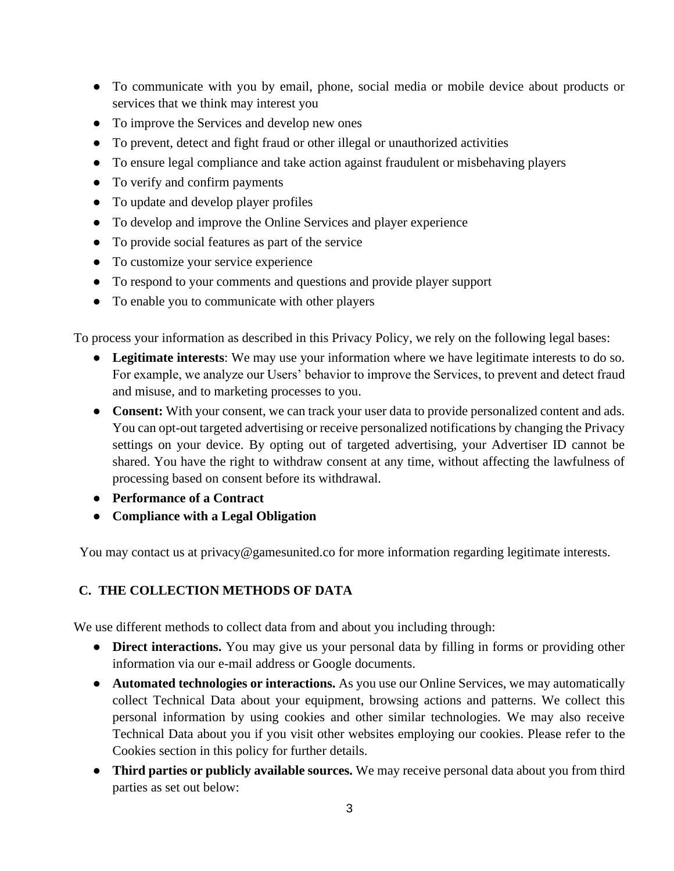- To communicate with you by email, phone, social media or mobile device about products or services that we think may interest you
- To improve the Services and develop new ones
- To prevent, detect and fight fraud or other illegal or unauthorized activities
- To ensure legal compliance and take action against fraudulent or misbehaving players
- To verify and confirm payments
- To update and develop player profiles
- To develop and improve the Online Services and player experience
- To provide social features as part of the service
- To customize your service experience
- To respond to your comments and questions and provide player support
- To enable you to communicate with other players

To process your information as described in this Privacy Policy, we rely on the following legal bases:

- **Legitimate interests**: We may use your information where we have legitimate interests to do so. For example, we analyze our Users' behavior to improve the Services, to prevent and detect fraud and misuse, and to marketing processes to you.
- **Consent:** With your consent, we can track your user data to provide personalized content and ads. You can opt-out targeted advertising or receive personalized notifications by changing the Privacy settings on your device. By opting out of targeted advertising, your Advertiser ID cannot be shared. You have the right to withdraw consent at any time, without affecting the lawfulness of processing based on consent before its withdrawal.
- **Performance of a Contract**
- **Compliance with a Legal Obligation**

You may contact us at privacy@gamesunited.co for more information regarding legitimate interests.

## **C. THE COLLECTION METHODS OF DATA**

We use different methods to collect data from and about you including through:

- **Direct interactions.** You may give us your personal data by filling in forms or providing other information via our e-mail address or Google documents.
- **Automated technologies or interactions.** As you use our Online Services, we may automatically collect Technical Data about your equipment, browsing actions and patterns. We collect this personal information by using cookies and other similar technologies. We may also receive Technical Data about you if you visit other websites employing our cookies. Please refer to the Cookies section in this policy for further details.
- **Third parties or publicly available sources.** We may receive personal data about you from third parties as set out below: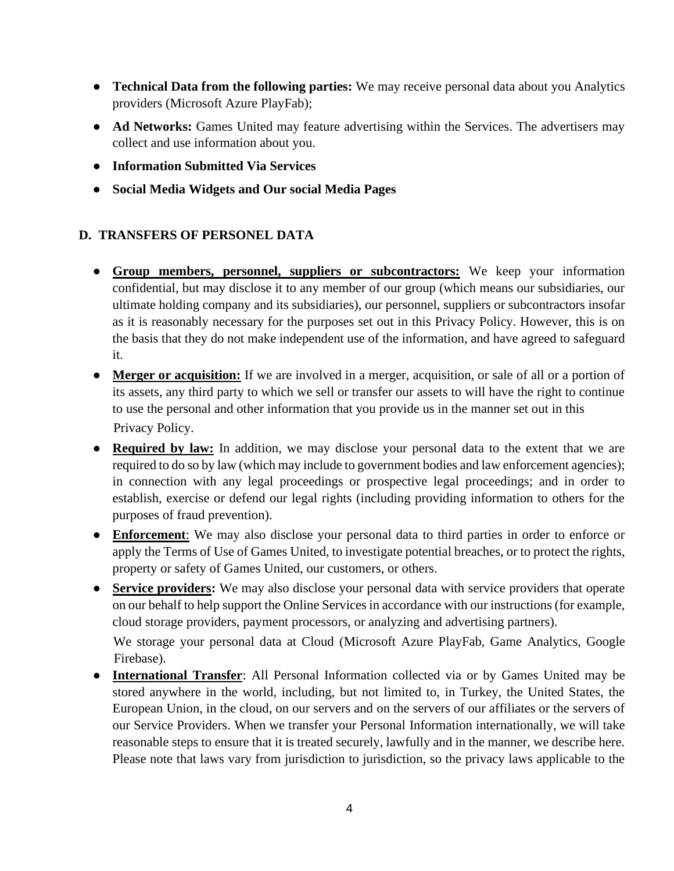- **Technical Data from the following parties:** We may receive personal data about you Analytics providers (Microsoft Azure PlayFab);
- Ad Networks: Games United may feature advertising within the Services. The advertisers may collect and use information about you.
- **Information Submitted Via Services**
- **Social Media Widgets and Our social Media Pages**

## **D. TRANSFERS OF PERSONEL DATA**

- **Group members, personnel, suppliers or subcontractors:** We keep your information confidential, but may disclose it to any member of our group (which means our subsidiaries, our ultimate holding company and its subsidiaries), our personnel, suppliers or subcontractors insofar as it is reasonably necessary for the purposes set out in this Privacy Policy. However, this is on the basis that they do not make independent use of the information, and have agreed to safeguard it.
- **Merger or acquisition:** If we are involved in a merger, acquisition, or sale of all or a portion of its assets, any third party to which we sell or transfer our assets to will have the right to continue to use the personal and other information that you provide us in the manner set out in this Privacy Policy.
- **Required by law:** In addition, we may disclose your personal data to the extent that we are required to do so by law (which may include to government bodies and law enforcement agencies); in connection with any legal proceedings or prospective legal proceedings; and in order to establish, exercise or defend our legal rights (including providing information to others for the purposes of fraud prevention).
- **Enforcement**: We may also disclose your personal data to third parties in order to enforce or apply the Terms of Use of Games United, to investigate potential breaches, or to protect the rights, property or safety of Games United, our customers, or others.
- **Service providers:** We may also disclose your personal data with service providers that operate on our behalf to help support the Online Services in accordance with our instructions (for example, cloud storage providers, payment processors, or analyzing and advertising partners).

We storage your personal data at Cloud (Microsoft Azure PlayFab, Game Analytics, Google Firebase).

● **International Transfer**: All Personal Information collected via or by Games United may be stored anywhere in the world, including, but not limited to, in Turkey, the United States, the European Union, in the cloud, on our servers and on the servers of our affiliates or the servers of our Service Providers. When we transfer your Personal Information internationally, we will take reasonable steps to ensure that it is treated securely, lawfully and in the manner, we describe here. Please note that laws vary from jurisdiction to jurisdiction, so the privacy laws applicable to the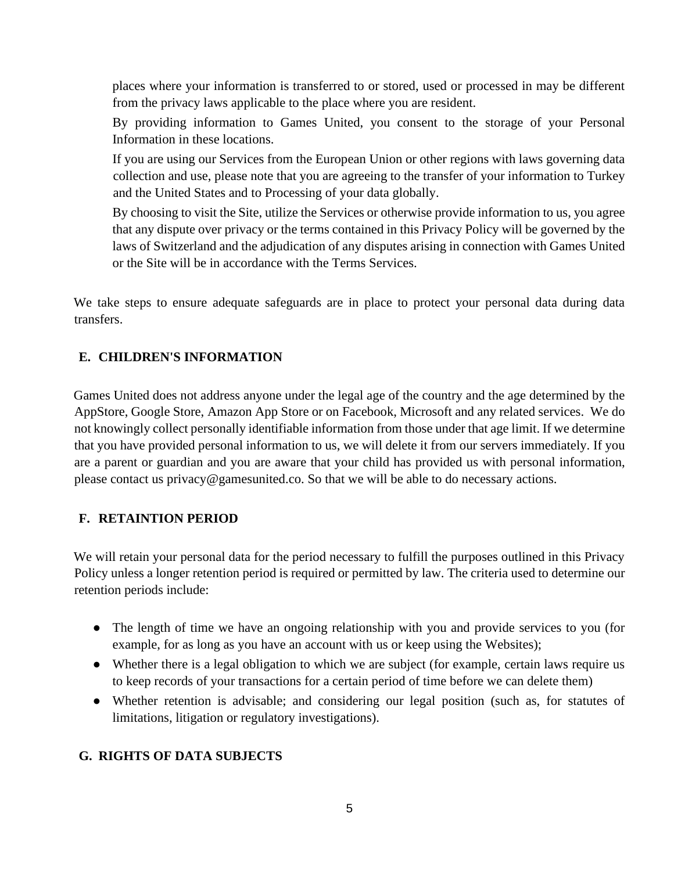places where your information is transferred to or stored, used or processed in may be different from the privacy laws applicable to the place where you are resident.

By providing information to Games United, you consent to the storage of your Personal Information in these locations.

If you are using our Services from the European Union or other regions with laws governing data collection and use, please note that you are agreeing to the transfer of your information to Turkey and the United States and to Processing of your data globally.

By choosing to visit the Site, utilize the Services or otherwise provide information to us, you agree that any dispute over privacy or the terms contained in this Privacy Policy will be governed by the laws of Switzerland and the adjudication of any disputes arising in connection with Games United or the Site will be in accordance with the Terms Services.

We take steps to ensure adequate safeguards are in place to protect your personal data during data transfers.

## **E. CHILDREN'S INFORMATION**

Games United does not address anyone under the legal age of the country and the age determined by the AppStore, Google Store, Amazon App Store or on Facebook, Microsoft and any related services. We do not knowingly collect personally identifiable information from those under that age limit. If we determine that you have provided personal information to us, we will delete it from our servers immediately. If you are a parent or guardian and you are aware that your child has provided us with personal information, please contact us privacy@gamesunited.co. So that we will be able to do necessary actions.

#### **F. RETAINTION PERIOD**

We will retain your personal data for the period necessary to fulfill the purposes outlined in this Privacy Policy unless a longer retention period is required or permitted by law. The criteria used to determine our retention periods include:

- The length of time we have an ongoing relationship with you and provide services to you (for example, for as long as you have an account with us or keep using the Websites);
- Whether there is a legal obligation to which we are subject (for example, certain laws require us to keep records of your transactions for a certain period of time before we can delete them)
- Whether retention is advisable; and considering our legal position (such as, for statutes of limitations, litigation or regulatory investigations).

#### **G. RIGHTS OF DATA SUBJECTS**